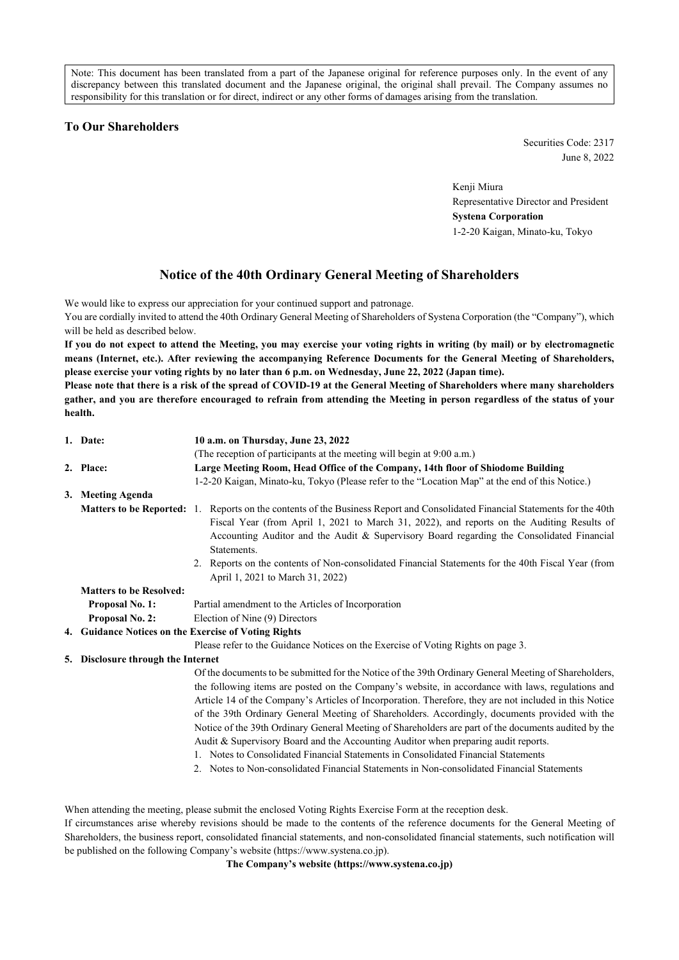Note: This document has been translated from a part of the Japanese original for reference purposes only. In the event of any discrepancy between this translated document and the Japanese original, the original shall prevail. The Company assumes no responsibility for this translation or for direct, indirect or any other forms of damages arising from the translation.

## **To Our Shareholders**

Securities Code: 2317 June 8, 2022

Kenji Miura Representative Director and President **Systena Corporation** 1-2-20 Kaigan, Minato-ku, Tokyo

# **Notice of the 40th Ordinary General Meeting of Shareholders**

We would like to express our appreciation for your continued support and patronage.

You are cordially invited to attend the 40th Ordinary General Meeting of Shareholders of Systena Corporation (the "Company"), which will be held as described below.

**If you do not expect to attend the Meeting, you may exercise your voting rights in writing (by mail) or by electromagnetic means (Internet, etc.). After reviewing the accompanying Reference Documents for the General Meeting of Shareholders, please exercise your voting rights by no later than 6 p.m. on Wednesday, June 22, 2022 (Japan time).**

**Please note that there is a risk of the spread of COVID-19 at the General Meeting of Shareholders where many shareholders gather, and you are therefore encouraged to refrain from attending the Meeting in person regardless of the status of your health.**

|    | 1. Date:                                             | 10 a.m. on Thursday, June 23, 2022                                                                                                                                                                                                                                                                                                                                                                                                                                                                                                                                                                                                                                                                                                                                                                       |  |  |  |  |  |  |
|----|------------------------------------------------------|----------------------------------------------------------------------------------------------------------------------------------------------------------------------------------------------------------------------------------------------------------------------------------------------------------------------------------------------------------------------------------------------------------------------------------------------------------------------------------------------------------------------------------------------------------------------------------------------------------------------------------------------------------------------------------------------------------------------------------------------------------------------------------------------------------|--|--|--|--|--|--|
|    |                                                      | (The reception of participants at the meeting will begin at 9:00 a.m.)                                                                                                                                                                                                                                                                                                                                                                                                                                                                                                                                                                                                                                                                                                                                   |  |  |  |  |  |  |
|    | 2. Place:                                            | Large Meeting Room, Head Office of the Company, 14th floor of Shiodome Building                                                                                                                                                                                                                                                                                                                                                                                                                                                                                                                                                                                                                                                                                                                          |  |  |  |  |  |  |
|    |                                                      | 1-2-20 Kaigan, Minato-ku, Tokyo (Please refer to the "Location Map" at the end of this Notice.)                                                                                                                                                                                                                                                                                                                                                                                                                                                                                                                                                                                                                                                                                                          |  |  |  |  |  |  |
|    | 3. Meeting Agenda                                    |                                                                                                                                                                                                                                                                                                                                                                                                                                                                                                                                                                                                                                                                                                                                                                                                          |  |  |  |  |  |  |
|    |                                                      | Matters to be Reported: 1. Reports on the contents of the Business Report and Consolidated Financial Statements for the 40th<br>Fiscal Year (from April 1, 2021 to March 31, 2022), and reports on the Auditing Results of<br>Accounting Auditor and the Audit & Supervisory Board regarding the Consolidated Financial<br>Statements.                                                                                                                                                                                                                                                                                                                                                                                                                                                                   |  |  |  |  |  |  |
|    |                                                      | 2. Reports on the contents of Non-consolidated Financial Statements for the 40th Fiscal Year (from<br>April 1, 2021 to March 31, 2022)                                                                                                                                                                                                                                                                                                                                                                                                                                                                                                                                                                                                                                                                   |  |  |  |  |  |  |
|    | <b>Matters to be Resolved:</b>                       |                                                                                                                                                                                                                                                                                                                                                                                                                                                                                                                                                                                                                                                                                                                                                                                                          |  |  |  |  |  |  |
|    | Proposal No. 1:                                      | Partial amendment to the Articles of Incorporation                                                                                                                                                                                                                                                                                                                                                                                                                                                                                                                                                                                                                                                                                                                                                       |  |  |  |  |  |  |
|    | Proposal No. 2:                                      | Election of Nine (9) Directors                                                                                                                                                                                                                                                                                                                                                                                                                                                                                                                                                                                                                                                                                                                                                                           |  |  |  |  |  |  |
|    | 4. Guidance Notices on the Exercise of Voting Rights |                                                                                                                                                                                                                                                                                                                                                                                                                                                                                                                                                                                                                                                                                                                                                                                                          |  |  |  |  |  |  |
|    |                                                      | Please refer to the Guidance Notices on the Exercise of Voting Rights on page 3.                                                                                                                                                                                                                                                                                                                                                                                                                                                                                                                                                                                                                                                                                                                         |  |  |  |  |  |  |
| 5. | Disclosure through the Internet                      |                                                                                                                                                                                                                                                                                                                                                                                                                                                                                                                                                                                                                                                                                                                                                                                                          |  |  |  |  |  |  |
|    |                                                      | Of the documents to be submitted for the Notice of the 39th Ordinary General Meeting of Shareholders,<br>the following items are posted on the Company's website, in accordance with laws, regulations and<br>Article 14 of the Company's Articles of Incorporation. Therefore, they are not included in this Notice<br>of the 39th Ordinary General Meeting of Shareholders. Accordingly, documents provided with the<br>Notice of the 39th Ordinary General Meeting of Shareholders are part of the documents audited by the<br>Audit & Supervisory Board and the Accounting Auditor when preparing audit reports.<br>1. Notes to Consolidated Financial Statements in Consolidated Financial Statements<br>2. Notes to Non-consolidated Financial Statements in Non-consolidated Financial Statements |  |  |  |  |  |  |

When attending the meeting, please submit the enclosed Voting Rights Exercise Form at the reception desk.

If circumstances arise whereby revisions should be made to the contents of the reference documents for the General Meeting of Shareholders, the business report, consolidated financial statements, and non-consolidated financial statements, such notification will be published on the following Company's website (https://www.systena.co.jp).

**The Company's website (https://www.systena.co.jp)**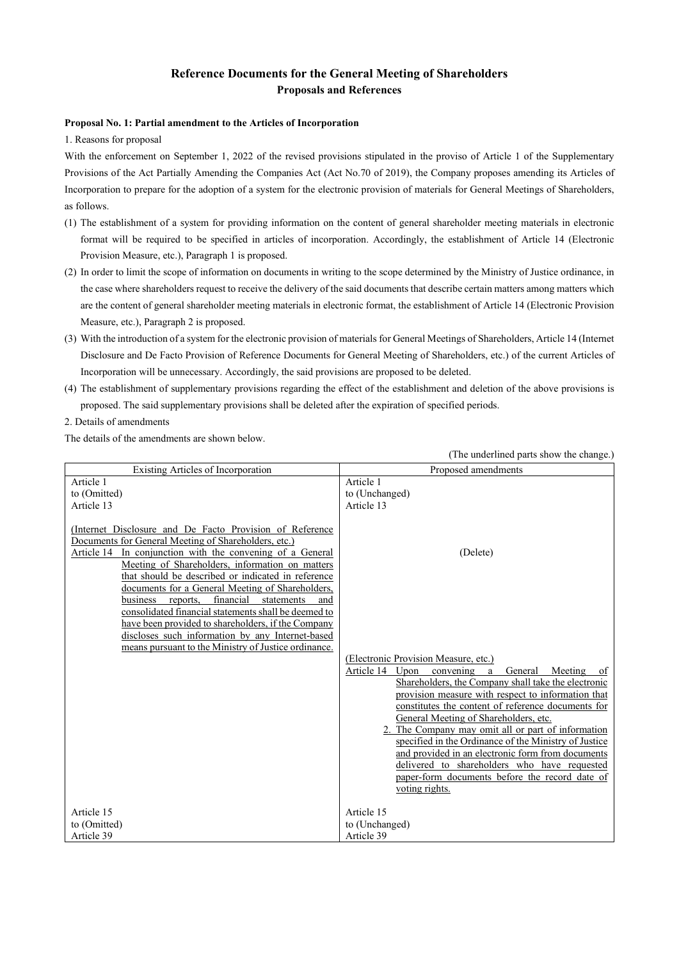## **Reference Documents for the General Meeting of Shareholders Proposals and References**

#### **Proposal No. 1: Partial amendment to the Articles of Incorporation**

1. Reasons for proposal

With the enforcement on September 1, 2022 of the revised provisions stipulated in the proviso of Article 1 of the Supplementary Provisions of the Act Partially Amending the Companies Act (Act No.70 of 2019), the Company proposes amending its Articles of Incorporation to prepare for the adoption of a system for the electronic provision of materials for General Meetings of Shareholders, as follows.

- (1) The establishment of a system for providing information on the content of general shareholder meeting materials in electronic format will be required to be specified in articles of incorporation. Accordingly, the establishment of Article 14 (Electronic Provision Measure, etc.), Paragraph 1 is proposed.
- (2) In order to limit the scope of information on documents in writing to the scope determined by the Ministry of Justice ordinance, in the case where shareholders request to receive the delivery of the said documents that describe certain matters among matters which are the content of general shareholder meeting materials in electronic format, the establishment of Article 14 (Electronic Provision Measure, etc.), Paragraph 2 is proposed.
- (3) With the introduction of a system for the electronic provision of materials for General Meetings of Shareholders, Article 14 (Internet Disclosure and De Facto Provision of Reference Documents for General Meeting of Shareholders, etc.) of the current Articles of Incorporation will be unnecessary. Accordingly, the said provisions are proposed to be deleted.
- (4) The establishment of supplementary provisions regarding the effect of the establishment and deletion of the above provisions is proposed. The said supplementary provisions shall be deleted after the expiration of specified periods.
- 2. Details of amendments

The details of the amendments are shown below.

|                                                                                                                                                                                                                                                                                                                                                                                                                                                                                                                                                                     | (The underlined parts show the change.)                                                                                                                                                                                                                                                                                                                                                                                                                                                                                                                                                                   |  |  |  |
|---------------------------------------------------------------------------------------------------------------------------------------------------------------------------------------------------------------------------------------------------------------------------------------------------------------------------------------------------------------------------------------------------------------------------------------------------------------------------------------------------------------------------------------------------------------------|-----------------------------------------------------------------------------------------------------------------------------------------------------------------------------------------------------------------------------------------------------------------------------------------------------------------------------------------------------------------------------------------------------------------------------------------------------------------------------------------------------------------------------------------------------------------------------------------------------------|--|--|--|
| Existing Articles of Incorporation                                                                                                                                                                                                                                                                                                                                                                                                                                                                                                                                  | Proposed amendments                                                                                                                                                                                                                                                                                                                                                                                                                                                                                                                                                                                       |  |  |  |
| Article 1<br>to (Omitted)<br>Article 13                                                                                                                                                                                                                                                                                                                                                                                                                                                                                                                             | Article 1<br>to (Unchanged)<br>Article 13                                                                                                                                                                                                                                                                                                                                                                                                                                                                                                                                                                 |  |  |  |
| (Internet Disclosure and De Facto Provision of Reference<br>Documents for General Meeting of Shareholders, etc.)<br>Article 14 In conjunction with the convening of a General<br>Meeting of Shareholders, information on matters<br>that should be described or indicated in reference<br>documents for a General Meeting of Shareholders,<br>financial<br>business reports,<br>statements<br>and<br>consolidated financial statements shall be deemed to<br>have been provided to shareholders, if the Company<br>discloses such information by any Internet-based | (Delete)                                                                                                                                                                                                                                                                                                                                                                                                                                                                                                                                                                                                  |  |  |  |
| means pursuant to the Ministry of Justice ordinance.                                                                                                                                                                                                                                                                                                                                                                                                                                                                                                                | (Electronic Provision Measure, etc.)<br>Article 14 Upon<br>convening<br>General<br>Meeting<br>a<br>of<br>Shareholders, the Company shall take the electronic<br>provision measure with respect to information that<br>constitutes the content of reference documents for<br>General Meeting of Shareholders, etc.<br>2. The Company may omit all or part of information<br>specified in the Ordinance of the Ministry of Justice<br>and provided in an electronic form from documents<br>delivered to shareholders who have requested<br>paper-form documents before the record date of<br>voting rights. |  |  |  |
| Article 15<br>to (Omitted)<br>Article 39                                                                                                                                                                                                                                                                                                                                                                                                                                                                                                                            | Article 15<br>to (Unchanged)<br>Article 39                                                                                                                                                                                                                                                                                                                                                                                                                                                                                                                                                                |  |  |  |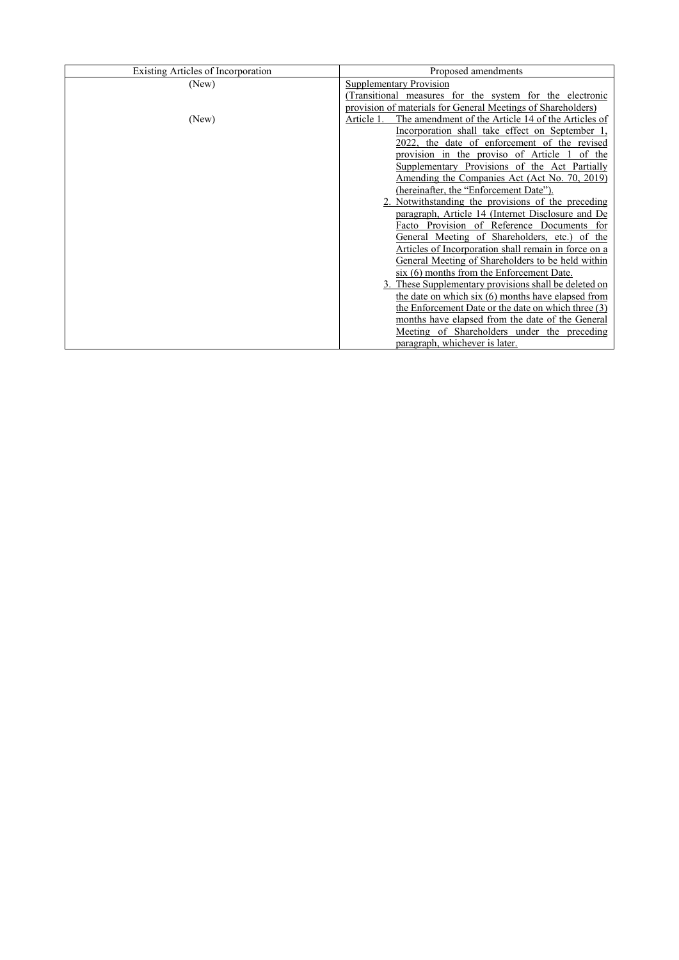| Existing Articles of Incorporation | Proposed amendments                                              |  |  |  |
|------------------------------------|------------------------------------------------------------------|--|--|--|
| (New)                              | <b>Supplementary Provision</b>                                   |  |  |  |
|                                    | (Transitional measures for the system for the electronic         |  |  |  |
|                                    | provision of materials for General Meetings of Shareholders)     |  |  |  |
| (New)                              | Article 1.<br>The amendment of the Article 14 of the Articles of |  |  |  |
|                                    | Incorporation shall take effect on September 1.                  |  |  |  |
|                                    | 2022, the date of enforcement of the revised                     |  |  |  |
|                                    | provision in the proviso of Article 1<br>of the                  |  |  |  |
|                                    | Supplementary Provisions of the Act Partially                    |  |  |  |
|                                    | Amending the Companies Act (Act No. 70, 2019)                    |  |  |  |
|                                    | (hereinafter, the "Enforcement Date").                           |  |  |  |
|                                    | 2. Notwithstanding the provisions of the preceding               |  |  |  |
|                                    | paragraph, Article 14 (Internet Disclosure and De                |  |  |  |
|                                    | Facto Provision of Reference Documents for                       |  |  |  |
|                                    | General Meeting of Shareholders, etc.) of the                    |  |  |  |
|                                    | Articles of Incorporation shall remain in force on a             |  |  |  |
|                                    | General Meeting of Shareholders to be held within                |  |  |  |
|                                    | $s$ ix $(6)$ months from the Enforcement Date.                   |  |  |  |
|                                    | 3. These Supplementary provisions shall be deleted on            |  |  |  |
|                                    | the date on which $six(6)$ months have elapsed from              |  |  |  |
|                                    | the Enforcement Date or the date on which three (3)              |  |  |  |
|                                    | months have elapsed from the date of the General                 |  |  |  |
|                                    | Meeting of Shareholders under the preceding                      |  |  |  |
|                                    | paragraph, whichever is later.                                   |  |  |  |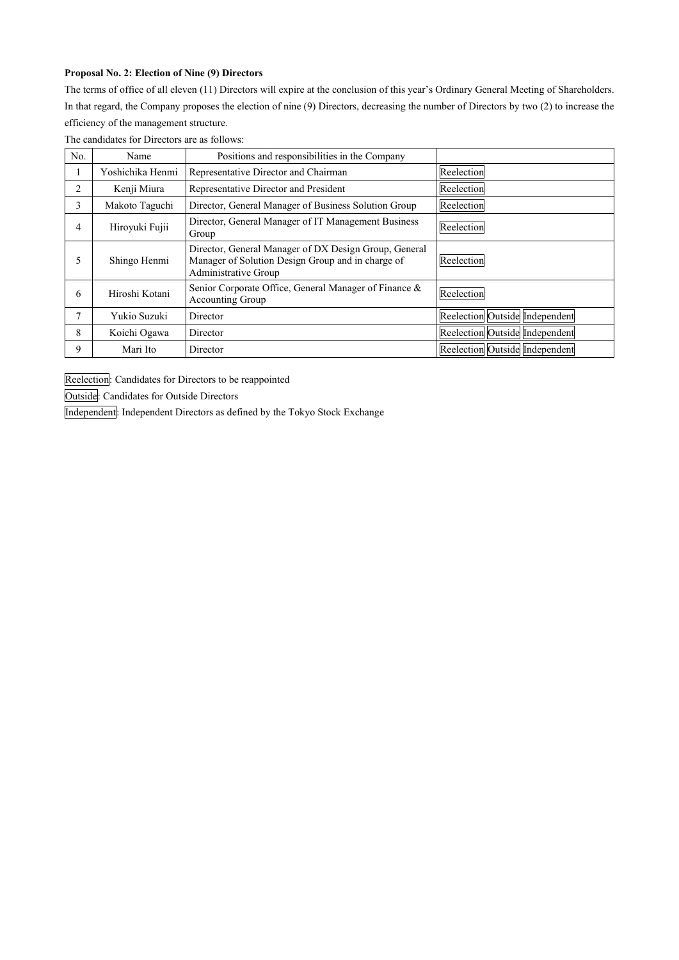## **Proposal No. 2: Election of Nine (9) Directors**

The terms of office of all eleven (11) Directors will expire at the conclusion of this year's Ordinary General Meeting of Shareholders. In that regard, the Company proposes the election of nine (9) Directors, decreasing the number of Directors by two (2) to increase the efficiency of the management structure.

| No. | Name             | Positions and responsibilities in the Company                                                                                      |                                |
|-----|------------------|------------------------------------------------------------------------------------------------------------------------------------|--------------------------------|
|     | Yoshichika Henmi | Representative Director and Chairman                                                                                               | Reelection                     |
| 2   | Kenji Miura      | Representative Director and President                                                                                              | Reelection                     |
| 3   | Makoto Taguchi   | Director, General Manager of Business Solution Group                                                                               | Reelection                     |
| 4   | Hiroyuki Fujii   | Director, General Manager of IT Management Business<br>Group                                                                       | Reelection                     |
|     | Shingo Henmi     | Director, General Manager of DX Design Group, General<br>Manager of Solution Design Group and in charge of<br>Administrative Group | Reelection                     |
| 6   | Hiroshi Kotani   | Senior Corporate Office, General Manager of Finance &<br>Accounting Group                                                          | Reelection                     |
| 7   | Yukio Suzuki     | Director                                                                                                                           | Reelection Outside Independent |
| 8   | Koichi Ogawa     | Director                                                                                                                           | Reelection Outside Independent |
| 9   | Mari Ito         | Director                                                                                                                           | Reelection Outside Independent |

The candidates for Directors are as follows:

Reelection: Candidates for Directors to be reappointed

Outside: Candidates for Outside Directors

Independent: Independent Directors as defined by the Tokyo Stock Exchange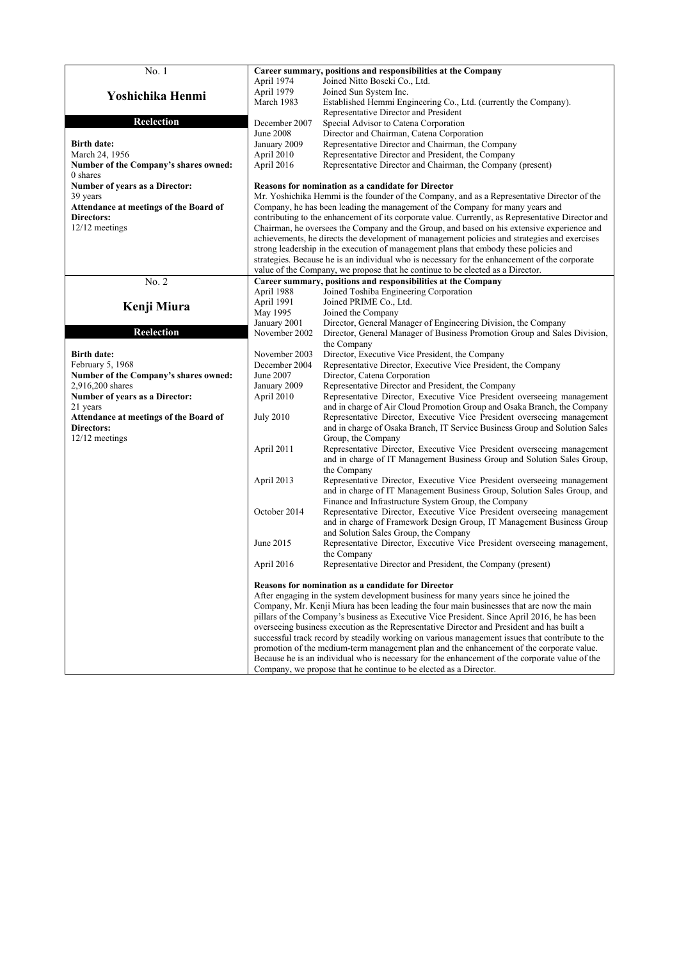| No. 1                                  | Career summary, positions and responsibilities at the Company                                                                                                                                 |                                                                                                                                                   |  |  |  |  |
|----------------------------------------|-----------------------------------------------------------------------------------------------------------------------------------------------------------------------------------------------|---------------------------------------------------------------------------------------------------------------------------------------------------|--|--|--|--|
|                                        | April 1974                                                                                                                                                                                    | Joined Nitto Boseki Co., Ltd.                                                                                                                     |  |  |  |  |
|                                        | April 1979                                                                                                                                                                                    | Joined Sun System Inc.                                                                                                                            |  |  |  |  |
| Yoshichika Henmi                       | March 1983                                                                                                                                                                                    | Established Hemmi Engineering Co., Ltd. (currently the Company).                                                                                  |  |  |  |  |
|                                        |                                                                                                                                                                                               | Representative Director and President                                                                                                             |  |  |  |  |
| <b>Reelection</b>                      | December 2007                                                                                                                                                                                 |                                                                                                                                                   |  |  |  |  |
|                                        | <b>June 2008</b>                                                                                                                                                                              | Special Advisor to Catena Corporation<br>Director and Chairman, Catena Corporation                                                                |  |  |  |  |
| <b>Birth date:</b>                     | January 2009                                                                                                                                                                                  | Representative Director and Chairman, the Company                                                                                                 |  |  |  |  |
|                                        |                                                                                                                                                                                               |                                                                                                                                                   |  |  |  |  |
| March 24, 1956                         | April 2010                                                                                                                                                                                    | Representative Director and President, the Company                                                                                                |  |  |  |  |
| Number of the Company's shares owned:  | April 2016                                                                                                                                                                                    | Representative Director and Chairman, the Company (present)                                                                                       |  |  |  |  |
| 0 shares                               |                                                                                                                                                                                               |                                                                                                                                                   |  |  |  |  |
| Number of years as a Director:         | Reasons for nomination as a candidate for Director                                                                                                                                            |                                                                                                                                                   |  |  |  |  |
| 39 years                               | Mr. Yoshichika Hemmi is the founder of the Company, and as a Representative Director of the                                                                                                   |                                                                                                                                                   |  |  |  |  |
| Attendance at meetings of the Board of |                                                                                                                                                                                               | Company, he has been leading the management of the Company for many years and                                                                     |  |  |  |  |
| Directors:                             | contributing to the enhancement of its corporate value. Currently, as Representative Director and                                                                                             |                                                                                                                                                   |  |  |  |  |
| 12/12 meetings                         |                                                                                                                                                                                               | Chairman, he oversees the Company and the Group, and based on his extensive experience and                                                        |  |  |  |  |
|                                        |                                                                                                                                                                                               | achievements, he directs the development of management policies and strategies and exercises                                                      |  |  |  |  |
|                                        |                                                                                                                                                                                               | strong leadership in the execution of management plans that embody these policies and                                                             |  |  |  |  |
|                                        |                                                                                                                                                                                               | strategies. Because he is an individual who is necessary for the enhancement of the corporate                                                     |  |  |  |  |
|                                        |                                                                                                                                                                                               | value of the Company, we propose that he continue to be elected as a Director.                                                                    |  |  |  |  |
| No. 2                                  |                                                                                                                                                                                               | Career summary, positions and responsibilities at the Company                                                                                     |  |  |  |  |
|                                        | April 1988                                                                                                                                                                                    | Joined Toshiba Engineering Corporation                                                                                                            |  |  |  |  |
| Kenji Miura                            | April 1991                                                                                                                                                                                    | Joined PRIME Co., Ltd.                                                                                                                            |  |  |  |  |
|                                        | May 1995                                                                                                                                                                                      | Joined the Company                                                                                                                                |  |  |  |  |
| <b>Reelection</b>                      | January 2001<br>November 2002                                                                                                                                                                 | Director, General Manager of Engineering Division, the Company                                                                                    |  |  |  |  |
|                                        |                                                                                                                                                                                               | Director, General Manager of Business Promotion Group and Sales Division,<br>the Company                                                          |  |  |  |  |
| <b>Birth date:</b>                     | November 2003                                                                                                                                                                                 | Director, Executive Vice President, the Company                                                                                                   |  |  |  |  |
| February 5, 1968                       | December 2004                                                                                                                                                                                 | Representative Director, Executive Vice President, the Company                                                                                    |  |  |  |  |
| Number of the Company's shares owned:  | June 2007                                                                                                                                                                                     | Director, Catena Corporation                                                                                                                      |  |  |  |  |
| 2,916,200 shares                       | January 2009                                                                                                                                                                                  | Representative Director and President, the Company                                                                                                |  |  |  |  |
| Number of years as a Director:         | April 2010                                                                                                                                                                                    | Representative Director, Executive Vice President overseeing management                                                                           |  |  |  |  |
| 21 years                               |                                                                                                                                                                                               | and in charge of Air Cloud Promotion Group and Osaka Branch, the Company                                                                          |  |  |  |  |
| Attendance at meetings of the Board of | <b>July 2010</b>                                                                                                                                                                              | Representative Director, Executive Vice President overseeing management                                                                           |  |  |  |  |
| Directors:                             |                                                                                                                                                                                               | and in charge of Osaka Branch, IT Service Business Group and Solution Sales                                                                       |  |  |  |  |
| 12/12 meetings                         |                                                                                                                                                                                               | Group, the Company                                                                                                                                |  |  |  |  |
|                                        | April 2011                                                                                                                                                                                    | Representative Director, Executive Vice President overseeing management                                                                           |  |  |  |  |
|                                        |                                                                                                                                                                                               | and in charge of IT Management Business Group and Solution Sales Group,                                                                           |  |  |  |  |
|                                        |                                                                                                                                                                                               | the Company                                                                                                                                       |  |  |  |  |
|                                        | April 2013                                                                                                                                                                                    | Representative Director, Executive Vice President overseeing management                                                                           |  |  |  |  |
|                                        |                                                                                                                                                                                               | and in charge of IT Management Business Group, Solution Sales Group, and                                                                          |  |  |  |  |
|                                        |                                                                                                                                                                                               | Finance and Infrastructure System Group, the Company                                                                                              |  |  |  |  |
|                                        | October 2014                                                                                                                                                                                  | Representative Director, Executive Vice President overseeing management                                                                           |  |  |  |  |
|                                        |                                                                                                                                                                                               | and in charge of Framework Design Group, IT Management Business Group                                                                             |  |  |  |  |
|                                        |                                                                                                                                                                                               | and Solution Sales Group, the Company                                                                                                             |  |  |  |  |
|                                        | June 2015                                                                                                                                                                                     | Representative Director, Executive Vice President overseeing management,                                                                          |  |  |  |  |
|                                        |                                                                                                                                                                                               | the Company                                                                                                                                       |  |  |  |  |
|                                        | April 2016                                                                                                                                                                                    | Representative Director and President, the Company (present)                                                                                      |  |  |  |  |
|                                        |                                                                                                                                                                                               |                                                                                                                                                   |  |  |  |  |
|                                        |                                                                                                                                                                                               | <b>Reasons for nomination as a candidate for Director</b><br>After engaging in the system development business for many years since he joined the |  |  |  |  |
|                                        |                                                                                                                                                                                               | Company, Mr. Kenji Miura has been leading the four main businesses that are now the main                                                          |  |  |  |  |
|                                        |                                                                                                                                                                                               | pillars of the Company's business as Executive Vice President. Since April 2016, he has been                                                      |  |  |  |  |
|                                        |                                                                                                                                                                                               |                                                                                                                                                   |  |  |  |  |
|                                        | overseeing business execution as the Representative Director and President and has built a<br>successful track record by steadily working on various management issues that contribute to the |                                                                                                                                                   |  |  |  |  |
|                                        | promotion of the medium-term management plan and the enhancement of the corporate value.                                                                                                      |                                                                                                                                                   |  |  |  |  |
|                                        | Because he is an individual who is necessary for the enhancement of the corporate value of the                                                                                                |                                                                                                                                                   |  |  |  |  |
|                                        |                                                                                                                                                                                               | Company, we propose that he continue to be elected as a Director.                                                                                 |  |  |  |  |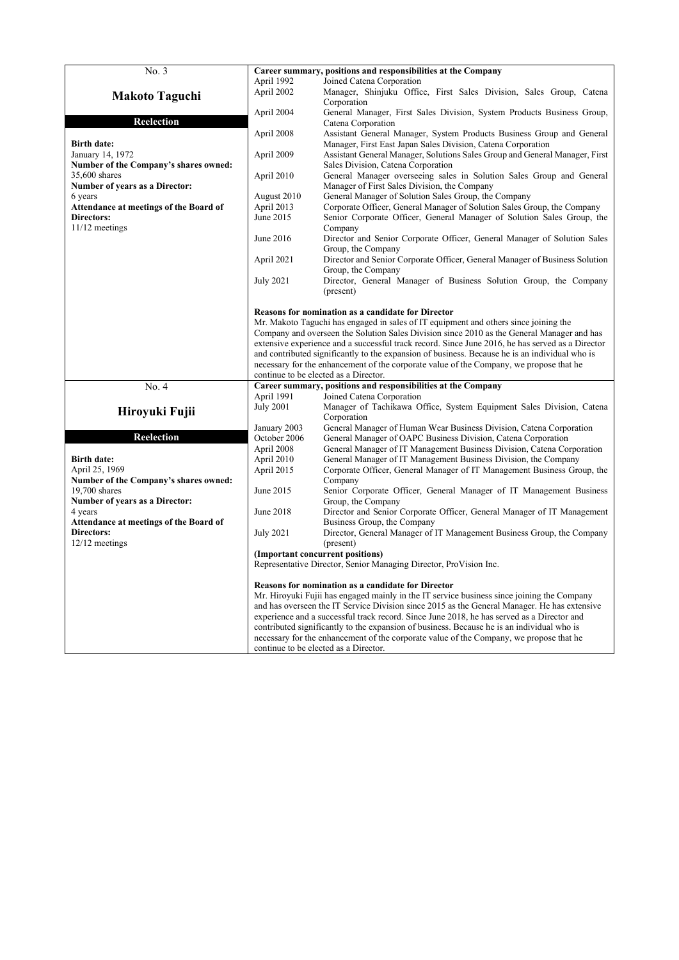| No. 3                                  | Career summary, positions and responsibilities at the Company<br>April 1992                      |                                                                                                |  |  |  |  |
|----------------------------------------|--------------------------------------------------------------------------------------------------|------------------------------------------------------------------------------------------------|--|--|--|--|
|                                        |                                                                                                  | Joined Catena Corporation                                                                      |  |  |  |  |
| <b>Makoto Taguchi</b>                  | April 2002                                                                                       | Manager, Shinjuku Office, First Sales Division, Sales Group, Catena                            |  |  |  |  |
|                                        |                                                                                                  | Corporation                                                                                    |  |  |  |  |
|                                        | April 2004                                                                                       | General Manager, First Sales Division, System Products Business Group,                         |  |  |  |  |
| Reelection                             |                                                                                                  | Catena Corporation                                                                             |  |  |  |  |
|                                        | April 2008                                                                                       | Assistant General Manager, System Products Business Group and General                          |  |  |  |  |
| <b>Birth date:</b>                     |                                                                                                  | Manager, First East Japan Sales Division, Catena Corporation                                   |  |  |  |  |
| January 14, 1972                       | April 2009                                                                                       | Assistant General Manager, Solutions Sales Group and General Manager, First                    |  |  |  |  |
| Number of the Company's shares owned:  |                                                                                                  | Sales Division, Catena Corporation                                                             |  |  |  |  |
| 35,600 shares                          | April 2010                                                                                       | General Manager overseeing sales in Solution Sales Group and General                           |  |  |  |  |
| Number of years as a Director:         |                                                                                                  | Manager of First Sales Division, the Company                                                   |  |  |  |  |
| 6 years                                | August 2010                                                                                      | General Manager of Solution Sales Group, the Company                                           |  |  |  |  |
| Attendance at meetings of the Board of | April 2013                                                                                       | Corporate Officer, General Manager of Solution Sales Group, the Company                        |  |  |  |  |
| Directors:                             | June 2015                                                                                        | Senior Corporate Officer, General Manager of Solution Sales Group, the                         |  |  |  |  |
| $11/12$ meetings                       |                                                                                                  | Company                                                                                        |  |  |  |  |
|                                        | June 2016                                                                                        | Director and Senior Corporate Officer, General Manager of Solution Sales                       |  |  |  |  |
|                                        |                                                                                                  | Group, the Company                                                                             |  |  |  |  |
|                                        | April 2021                                                                                       | Director and Senior Corporate Officer, General Manager of Business Solution                    |  |  |  |  |
|                                        |                                                                                                  | Group, the Company                                                                             |  |  |  |  |
|                                        | <b>July 2021</b>                                                                                 | Director, General Manager of Business Solution Group, the Company                              |  |  |  |  |
|                                        |                                                                                                  | (present)                                                                                      |  |  |  |  |
|                                        |                                                                                                  |                                                                                                |  |  |  |  |
|                                        |                                                                                                  | Reasons for nomination as a candidate for Director                                             |  |  |  |  |
|                                        |                                                                                                  | Mr. Makoto Taguchi has engaged in sales of IT equipment and others since joining the           |  |  |  |  |
|                                        |                                                                                                  | Company and overseen the Solution Sales Division since 2010 as the General Manager and has     |  |  |  |  |
|                                        | extensive experience and a successful track record. Since June 2016, he has served as a Director |                                                                                                |  |  |  |  |
|                                        |                                                                                                  | and contributed significantly to the expansion of business. Because he is an individual who is |  |  |  |  |
|                                        |                                                                                                  | necessary for the enhancement of the corporate value of the Company, we propose that he        |  |  |  |  |
|                                        |                                                                                                  | continue to be elected as a Director.                                                          |  |  |  |  |
| No. 4                                  |                                                                                                  | Career summary, positions and responsibilities at the Company                                  |  |  |  |  |
|                                        | April 1991                                                                                       | Joined Catena Corporation                                                                      |  |  |  |  |
| Hiroyuki Fujii                         | <b>July 2001</b>                                                                                 | Manager of Tachikawa Office, System Equipment Sales Division, Catena                           |  |  |  |  |
|                                        |                                                                                                  | Corporation                                                                                    |  |  |  |  |
|                                        | January 2003                                                                                     | General Manager of Human Wear Business Division, Catena Corporation                            |  |  |  |  |
| <b>Reelection</b>                      | October 2006                                                                                     | General Manager of OAPC Business Division, Catena Corporation                                  |  |  |  |  |
|                                        | April 2008                                                                                       | General Manager of IT Management Business Division, Catena Corporation                         |  |  |  |  |
| <b>Birth date:</b>                     | April 2010                                                                                       | General Manager of IT Management Business Division, the Company                                |  |  |  |  |
| April 25, 1969                         | April 2015                                                                                       | Corporate Officer, General Manager of IT Management Business Group, the                        |  |  |  |  |
| Number of the Company's shares owned:  |                                                                                                  | Company                                                                                        |  |  |  |  |
| $19,700$ shares                        | June 2015                                                                                        | Senior Corporate Officer, General Manager of IT Management Business                            |  |  |  |  |
| Number of years as a Director:         |                                                                                                  | Group, the Company                                                                             |  |  |  |  |
| 4 years                                | June 2018                                                                                        | Director and Senior Corporate Officer, General Manager of IT Management                        |  |  |  |  |
| Attendance at meetings of the Board of |                                                                                                  | Business Group, the Company                                                                    |  |  |  |  |
| <b>Directors:</b>                      | <b>July 2021</b>                                                                                 | Director, General Manager of IT Management Business Group, the Company                         |  |  |  |  |
| $12/12$ meetings                       |                                                                                                  | (present)                                                                                      |  |  |  |  |
|                                        | (Important concurrent positions)                                                                 |                                                                                                |  |  |  |  |
|                                        |                                                                                                  | Representative Director, Senior Managing Director, ProVision Inc.                              |  |  |  |  |
|                                        |                                                                                                  |                                                                                                |  |  |  |  |
|                                        |                                                                                                  | <b>Reasons for nomination as a candidate for Director</b>                                      |  |  |  |  |
|                                        |                                                                                                  | Mr. Hiroyuki Fujii has engaged mainly in the IT service business since joining the Company     |  |  |  |  |
|                                        |                                                                                                  | and has overseen the IT Service Division since 2015 as the General Manager. He has extensive   |  |  |  |  |
|                                        | experience and a successful track record. Since June 2018, he has served as a Director and       |                                                                                                |  |  |  |  |
|                                        |                                                                                                  | contributed significantly to the expansion of business. Because he is an individual who is     |  |  |  |  |
|                                        |                                                                                                  | necessary for the enhancement of the corporate value of the Company, we propose that he        |  |  |  |  |
|                                        |                                                                                                  | continue to be elected as a Director.                                                          |  |  |  |  |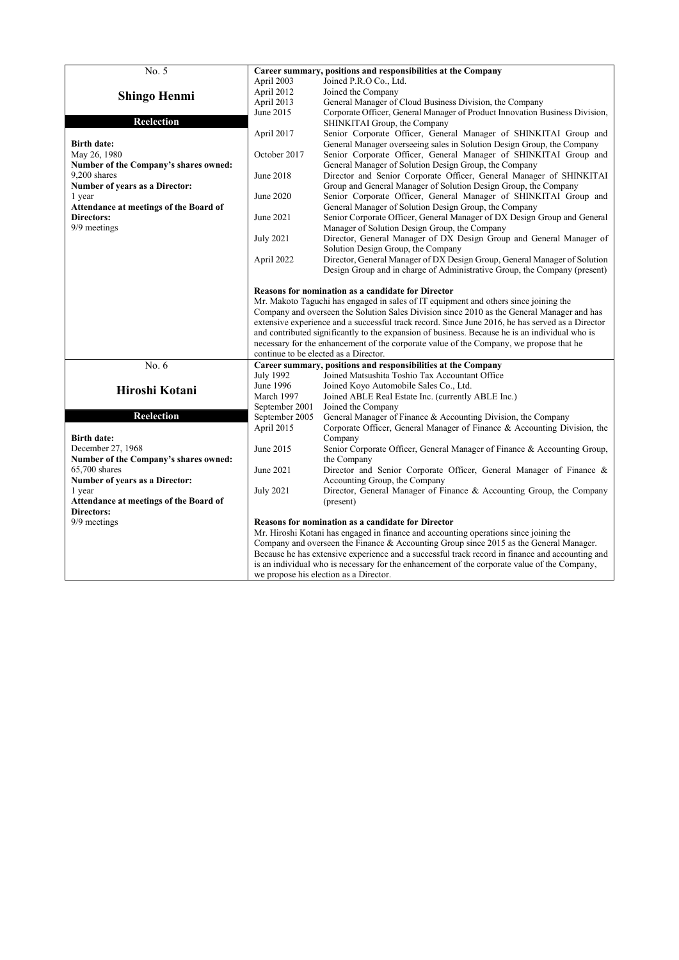| No. 5                                  |                                                                                                                                                                                             | Career summary, positions and responsibilities at the Company                                  |  |  |  |  |
|----------------------------------------|---------------------------------------------------------------------------------------------------------------------------------------------------------------------------------------------|------------------------------------------------------------------------------------------------|--|--|--|--|
|                                        | April 2003                                                                                                                                                                                  | Joined P.R.O Co., Ltd.                                                                         |  |  |  |  |
| <b>Shingo Henmi</b>                    | April 2012                                                                                                                                                                                  | Joined the Company                                                                             |  |  |  |  |
|                                        | April 2013                                                                                                                                                                                  | General Manager of Cloud Business Division, the Company                                        |  |  |  |  |
|                                        | June 2015                                                                                                                                                                                   | Corporate Officer, General Manager of Product Innovation Business Division,                    |  |  |  |  |
| <b>Reelection</b>                      |                                                                                                                                                                                             | SHINKITAI Group, the Company                                                                   |  |  |  |  |
|                                        | April 2017                                                                                                                                                                                  | Senior Corporate Officer, General Manager of SHINKITAI Group and                               |  |  |  |  |
| <b>Birth date:</b>                     |                                                                                                                                                                                             | General Manager overseeing sales in Solution Design Group, the Company                         |  |  |  |  |
| May 26, 1980                           | October 2017                                                                                                                                                                                | Senior Corporate Officer, General Manager of SHINKITAI Group and                               |  |  |  |  |
| Number of the Company's shares owned:  |                                                                                                                                                                                             | General Manager of Solution Design Group, the Company                                          |  |  |  |  |
| 9.200 shares                           | June 2018                                                                                                                                                                                   | Director and Senior Corporate Officer, General Manager of SHINKITAI                            |  |  |  |  |
| Number of years as a Director:         |                                                                                                                                                                                             | Group and General Manager of Solution Design Group, the Company                                |  |  |  |  |
| 1 year                                 | June 2020                                                                                                                                                                                   | Senior Corporate Officer, General Manager of SHINKITAI Group and                               |  |  |  |  |
|                                        |                                                                                                                                                                                             |                                                                                                |  |  |  |  |
| Attendance at meetings of the Board of |                                                                                                                                                                                             | General Manager of Solution Design Group, the Company                                          |  |  |  |  |
| <b>Directors:</b>                      | June 2021                                                                                                                                                                                   | Senior Corporate Officer, General Manager of DX Design Group and General                       |  |  |  |  |
| 9/9 meetings                           |                                                                                                                                                                                             | Manager of Solution Design Group, the Company                                                  |  |  |  |  |
|                                        | <b>July 2021</b>                                                                                                                                                                            | Director, General Manager of DX Design Group and General Manager of                            |  |  |  |  |
|                                        |                                                                                                                                                                                             | Solution Design Group, the Company                                                             |  |  |  |  |
|                                        | April 2022                                                                                                                                                                                  | Director, General Manager of DX Design Group, General Manager of Solution                      |  |  |  |  |
|                                        |                                                                                                                                                                                             | Design Group and in charge of Administrative Group, the Company (present)                      |  |  |  |  |
|                                        |                                                                                                                                                                                             |                                                                                                |  |  |  |  |
|                                        |                                                                                                                                                                                             | Reasons for nomination as a candidate for Director                                             |  |  |  |  |
|                                        | Mr. Makoto Taguchi has engaged in sales of IT equipment and others since joining the                                                                                                        |                                                                                                |  |  |  |  |
|                                        | Company and overseen the Solution Sales Division since 2010 as the General Manager and has                                                                                                  |                                                                                                |  |  |  |  |
|                                        | extensive experience and a successful track record. Since June 2016, he has served as a Director                                                                                            |                                                                                                |  |  |  |  |
|                                        |                                                                                                                                                                                             | and contributed significantly to the expansion of business. Because he is an individual who is |  |  |  |  |
|                                        |                                                                                                                                                                                             | necessary for the enhancement of the corporate value of the Company, we propose that he        |  |  |  |  |
|                                        |                                                                                                                                                                                             | continue to be elected as a Director.                                                          |  |  |  |  |
| No. 6                                  |                                                                                                                                                                                             | Career summary, positions and responsibilities at the Company                                  |  |  |  |  |
|                                        | July 1992                                                                                                                                                                                   | Joined Matsushita Toshio Tax Accountant Office                                                 |  |  |  |  |
| Hiroshi Kotani                         | June 1996                                                                                                                                                                                   | Joined Koyo Automobile Sales Co., Ltd.                                                         |  |  |  |  |
|                                        | March 1997                                                                                                                                                                                  | Joined ABLE Real Estate Inc. (currently ABLE Inc.)                                             |  |  |  |  |
|                                        | September 2001                                                                                                                                                                              | Joined the Company                                                                             |  |  |  |  |
| Reelection                             | September 2005                                                                                                                                                                              | General Manager of Finance & Accounting Division, the Company                                  |  |  |  |  |
|                                        | April 2015                                                                                                                                                                                  | Corporate Officer, General Manager of Finance & Accounting Division, the                       |  |  |  |  |
| <b>Birth date:</b>                     |                                                                                                                                                                                             | Company                                                                                        |  |  |  |  |
| December 27, 1968                      | June 2015                                                                                                                                                                                   | Senior Corporate Officer, General Manager of Finance & Accounting Group,                       |  |  |  |  |
| Number of the Company's shares owned:  |                                                                                                                                                                                             | the Company                                                                                    |  |  |  |  |
| $65,700$ shares                        | June 2021                                                                                                                                                                                   | Director and Senior Corporate Officer, General Manager of Finance &                            |  |  |  |  |
| Number of years as a Director:         |                                                                                                                                                                                             | Accounting Group, the Company                                                                  |  |  |  |  |
| 1 year                                 | <b>July 2021</b>                                                                                                                                                                            | Director, General Manager of Finance & Accounting Group, the Company                           |  |  |  |  |
| Attendance at meetings of the Board of |                                                                                                                                                                                             | (present)                                                                                      |  |  |  |  |
| Directors:                             |                                                                                                                                                                                             |                                                                                                |  |  |  |  |
| 9/9 meetings                           |                                                                                                                                                                                             | Reasons for nomination as a candidate for Director                                             |  |  |  |  |
|                                        |                                                                                                                                                                                             | Mr. Hiroshi Kotani has engaged in finance and accounting operations since joining the          |  |  |  |  |
|                                        |                                                                                                                                                                                             |                                                                                                |  |  |  |  |
|                                        | Company and overseen the Finance & Accounting Group since $2015$ as the General Manager.<br>Because he has extensive experience and a successful track record in finance and accounting and |                                                                                                |  |  |  |  |
|                                        |                                                                                                                                                                                             |                                                                                                |  |  |  |  |
|                                        |                                                                                                                                                                                             | is an individual who is necessary for the enhancement of the corporate value of the Company,   |  |  |  |  |
|                                        |                                                                                                                                                                                             | we propose his election as a Director.                                                         |  |  |  |  |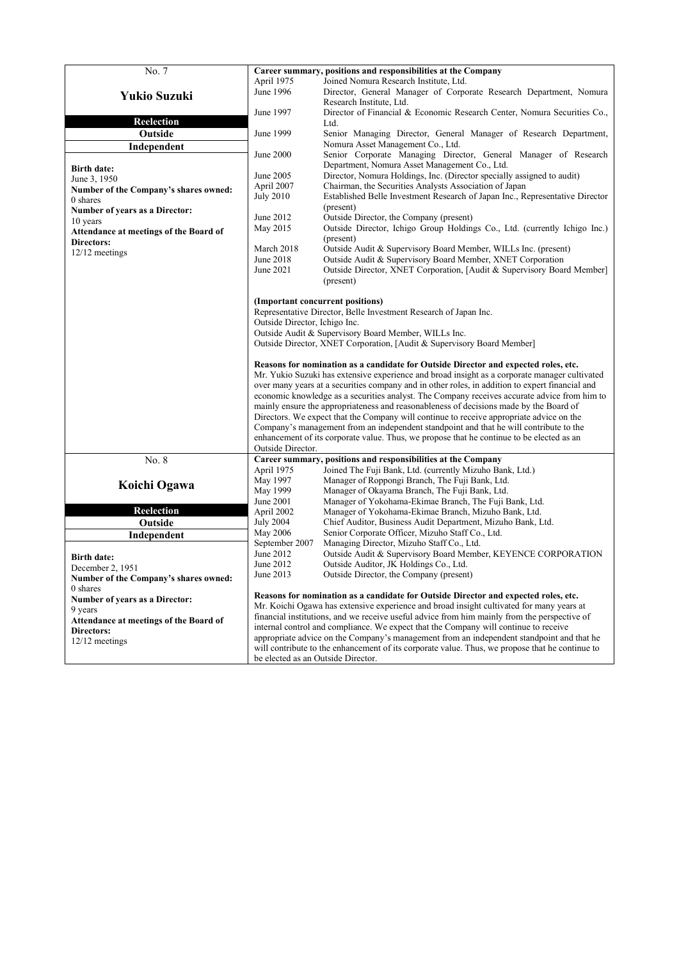| No. 7                                  |                                                                                                                                                                                                                                                                                                                                                                                                                                                                                                                                                                                                                                                                                                                                                                                           | Career summary, positions and responsibilities at the Company                                                  |  |  |  |  |
|----------------------------------------|-------------------------------------------------------------------------------------------------------------------------------------------------------------------------------------------------------------------------------------------------------------------------------------------------------------------------------------------------------------------------------------------------------------------------------------------------------------------------------------------------------------------------------------------------------------------------------------------------------------------------------------------------------------------------------------------------------------------------------------------------------------------------------------------|----------------------------------------------------------------------------------------------------------------|--|--|--|--|
|                                        | April 1975<br>Joined Nomura Research Institute, Ltd.                                                                                                                                                                                                                                                                                                                                                                                                                                                                                                                                                                                                                                                                                                                                      |                                                                                                                |  |  |  |  |
| <b>Yukio Suzuki</b>                    | June 1996                                                                                                                                                                                                                                                                                                                                                                                                                                                                                                                                                                                                                                                                                                                                                                                 | Director, General Manager of Corporate Research Department, Nomura                                             |  |  |  |  |
|                                        |                                                                                                                                                                                                                                                                                                                                                                                                                                                                                                                                                                                                                                                                                                                                                                                           | Research Institute, Ltd.                                                                                       |  |  |  |  |
| Reelection                             | June 1997                                                                                                                                                                                                                                                                                                                                                                                                                                                                                                                                                                                                                                                                                                                                                                                 | Director of Financial & Economic Research Center, Nomura Securities Co.,<br>Ltd.                               |  |  |  |  |
| Outside                                | June 1999                                                                                                                                                                                                                                                                                                                                                                                                                                                                                                                                                                                                                                                                                                                                                                                 | Senior Managing Director, General Manager of Research Department,                                              |  |  |  |  |
| Independent                            |                                                                                                                                                                                                                                                                                                                                                                                                                                                                                                                                                                                                                                                                                                                                                                                           | Nomura Asset Management Co., Ltd.                                                                              |  |  |  |  |
|                                        | June 2000                                                                                                                                                                                                                                                                                                                                                                                                                                                                                                                                                                                                                                                                                                                                                                                 | Senior Corporate Managing Director, General Manager of Research                                                |  |  |  |  |
| <b>Birth date:</b>                     |                                                                                                                                                                                                                                                                                                                                                                                                                                                                                                                                                                                                                                                                                                                                                                                           | Department, Nomura Asset Management Co., Ltd.                                                                  |  |  |  |  |
| June 3, 1950                           | June 2005                                                                                                                                                                                                                                                                                                                                                                                                                                                                                                                                                                                                                                                                                                                                                                                 | Director, Nomura Holdings, Inc. (Director specially assigned to audit)                                         |  |  |  |  |
| Number of the Company's shares owned:  | April 2007                                                                                                                                                                                                                                                                                                                                                                                                                                                                                                                                                                                                                                                                                                                                                                                | Chairman, the Securities Analysts Association of Japan                                                         |  |  |  |  |
| 0 shares                               | <b>July 2010</b>                                                                                                                                                                                                                                                                                                                                                                                                                                                                                                                                                                                                                                                                                                                                                                          | Established Belle Investment Research of Japan Inc., Representative Director                                   |  |  |  |  |
| Number of years as a Director:         | June 2012                                                                                                                                                                                                                                                                                                                                                                                                                                                                                                                                                                                                                                                                                                                                                                                 | (present)<br>Outside Director, the Company (present)                                                           |  |  |  |  |
| 10 years                               | May 2015                                                                                                                                                                                                                                                                                                                                                                                                                                                                                                                                                                                                                                                                                                                                                                                  | Outside Director, Ichigo Group Holdings Co., Ltd. (currently Ichigo Inc.)                                      |  |  |  |  |
| Attendance at meetings of the Board of |                                                                                                                                                                                                                                                                                                                                                                                                                                                                                                                                                                                                                                                                                                                                                                                           | (present)                                                                                                      |  |  |  |  |
| Directors:<br>12/12 meetings           | March 2018                                                                                                                                                                                                                                                                                                                                                                                                                                                                                                                                                                                                                                                                                                                                                                                | Outside Audit & Supervisory Board Member, WILLs Inc. (present)                                                 |  |  |  |  |
|                                        | June 2018                                                                                                                                                                                                                                                                                                                                                                                                                                                                                                                                                                                                                                                                                                                                                                                 | Outside Audit & Supervisory Board Member, XNET Corporation                                                     |  |  |  |  |
|                                        | June 2021                                                                                                                                                                                                                                                                                                                                                                                                                                                                                                                                                                                                                                                                                                                                                                                 | Outside Director, XNET Corporation, [Audit & Supervisory Board Member]                                         |  |  |  |  |
|                                        |                                                                                                                                                                                                                                                                                                                                                                                                                                                                                                                                                                                                                                                                                                                                                                                           | (present)                                                                                                      |  |  |  |  |
|                                        |                                                                                                                                                                                                                                                                                                                                                                                                                                                                                                                                                                                                                                                                                                                                                                                           | (Important concurrent positions)                                                                               |  |  |  |  |
|                                        |                                                                                                                                                                                                                                                                                                                                                                                                                                                                                                                                                                                                                                                                                                                                                                                           | Representative Director, Belle Investment Research of Japan Inc.                                               |  |  |  |  |
|                                        | Outside Director, Ichigo Inc.                                                                                                                                                                                                                                                                                                                                                                                                                                                                                                                                                                                                                                                                                                                                                             |                                                                                                                |  |  |  |  |
|                                        |                                                                                                                                                                                                                                                                                                                                                                                                                                                                                                                                                                                                                                                                                                                                                                                           | Outside Audit & Supervisory Board Member, WILLs Inc.                                                           |  |  |  |  |
|                                        |                                                                                                                                                                                                                                                                                                                                                                                                                                                                                                                                                                                                                                                                                                                                                                                           | Outside Director, XNET Corporation, [Audit & Supervisory Board Member]                                         |  |  |  |  |
|                                        | Reasons for nomination as a candidate for Outside Director and expected roles, etc.<br>Mr. Yukio Suzuki has extensive experience and broad insight as a corporate manager cultivated<br>over many years at a securities company and in other roles, in addition to expert financial and<br>economic knowledge as a securities analyst. The Company receives accurate advice from him to<br>mainly ensure the appropriateness and reasonableness of decisions made by the Board of<br>Directors. We expect that the Company will continue to receive appropriate advice on the<br>Company's management from an independent standpoint and that he will contribute to the<br>enhancement of its corporate value. Thus, we propose that he continue to be elected as an<br>Outside Director. |                                                                                                                |  |  |  |  |
| No. 8                                  |                                                                                                                                                                                                                                                                                                                                                                                                                                                                                                                                                                                                                                                                                                                                                                                           | Career summary, positions and responsibilities at the Company                                                  |  |  |  |  |
|                                        | April 1975                                                                                                                                                                                                                                                                                                                                                                                                                                                                                                                                                                                                                                                                                                                                                                                | Joined The Fuji Bank, Ltd. (currently Mizuho Bank, Ltd.)                                                       |  |  |  |  |
| Koichi Ogawa                           | May 1997                                                                                                                                                                                                                                                                                                                                                                                                                                                                                                                                                                                                                                                                                                                                                                                  | Manager of Roppongi Branch, The Fuji Bank, Ltd.                                                                |  |  |  |  |
|                                        | May 1999                                                                                                                                                                                                                                                                                                                                                                                                                                                                                                                                                                                                                                                                                                                                                                                  | Manager of Okayama Branch, The Fuji Bank, Ltd.                                                                 |  |  |  |  |
| <b>Reelection</b>                      | June 2001<br>April 2002                                                                                                                                                                                                                                                                                                                                                                                                                                                                                                                                                                                                                                                                                                                                                                   | Manager of Yokohama-Ekimae Branch, The Fuji Bank, Ltd.<br>Manager of Yokohama-Ekimae Branch, Mizuho Bank, Ltd. |  |  |  |  |
| Outside                                | <b>July 2004</b>                                                                                                                                                                                                                                                                                                                                                                                                                                                                                                                                                                                                                                                                                                                                                                          | Chief Auditor, Business Audit Department, Mizuho Bank, Ltd.                                                    |  |  |  |  |
| Independent                            | May 2006                                                                                                                                                                                                                                                                                                                                                                                                                                                                                                                                                                                                                                                                                                                                                                                  | Senior Corporate Officer, Mizuho Staff Co., Ltd.                                                               |  |  |  |  |
|                                        | September 2007                                                                                                                                                                                                                                                                                                                                                                                                                                                                                                                                                                                                                                                                                                                                                                            | Managing Director, Mizuho Staff Co., Ltd.                                                                      |  |  |  |  |
| <b>Birth date:</b>                     | June 2012                                                                                                                                                                                                                                                                                                                                                                                                                                                                                                                                                                                                                                                                                                                                                                                 | Outside Audit & Supervisory Board Member, KEYENCE CORPORATION                                                  |  |  |  |  |
| December 2, 1951                       | June 2012                                                                                                                                                                                                                                                                                                                                                                                                                                                                                                                                                                                                                                                                                                                                                                                 | Outside Auditor, JK Holdings Co., Ltd.                                                                         |  |  |  |  |
| Number of the Company's shares owned:  | June 2013                                                                                                                                                                                                                                                                                                                                                                                                                                                                                                                                                                                                                                                                                                                                                                                 | Outside Director, the Company (present)                                                                        |  |  |  |  |
| 0 shares                               |                                                                                                                                                                                                                                                                                                                                                                                                                                                                                                                                                                                                                                                                                                                                                                                           |                                                                                                                |  |  |  |  |
| Number of years as a Director:         |                                                                                                                                                                                                                                                                                                                                                                                                                                                                                                                                                                                                                                                                                                                                                                                           | Reasons for nomination as a candidate for Outside Director and expected roles, etc.                            |  |  |  |  |
| 9 years                                |                                                                                                                                                                                                                                                                                                                                                                                                                                                                                                                                                                                                                                                                                                                                                                                           | Mr. Koichi Ogawa has extensive experience and broad insight cultivated for many years at                       |  |  |  |  |
| Attendance at meetings of the Board of | financial institutions, and we receive useful advice from him mainly from the perspective of<br>internal control and compliance. We expect that the Company will continue to receive                                                                                                                                                                                                                                                                                                                                                                                                                                                                                                                                                                                                      |                                                                                                                |  |  |  |  |
| <b>Directors:</b>                      |                                                                                                                                                                                                                                                                                                                                                                                                                                                                                                                                                                                                                                                                                                                                                                                           | appropriate advice on the Company's management from an independent standpoint and that he                      |  |  |  |  |
| 12/12 meetings                         | will contribute to the enhancement of its corporate value. Thus, we propose that he continue to                                                                                                                                                                                                                                                                                                                                                                                                                                                                                                                                                                                                                                                                                           |                                                                                                                |  |  |  |  |
|                                        | be elected as an Outside Director.                                                                                                                                                                                                                                                                                                                                                                                                                                                                                                                                                                                                                                                                                                                                                        |                                                                                                                |  |  |  |  |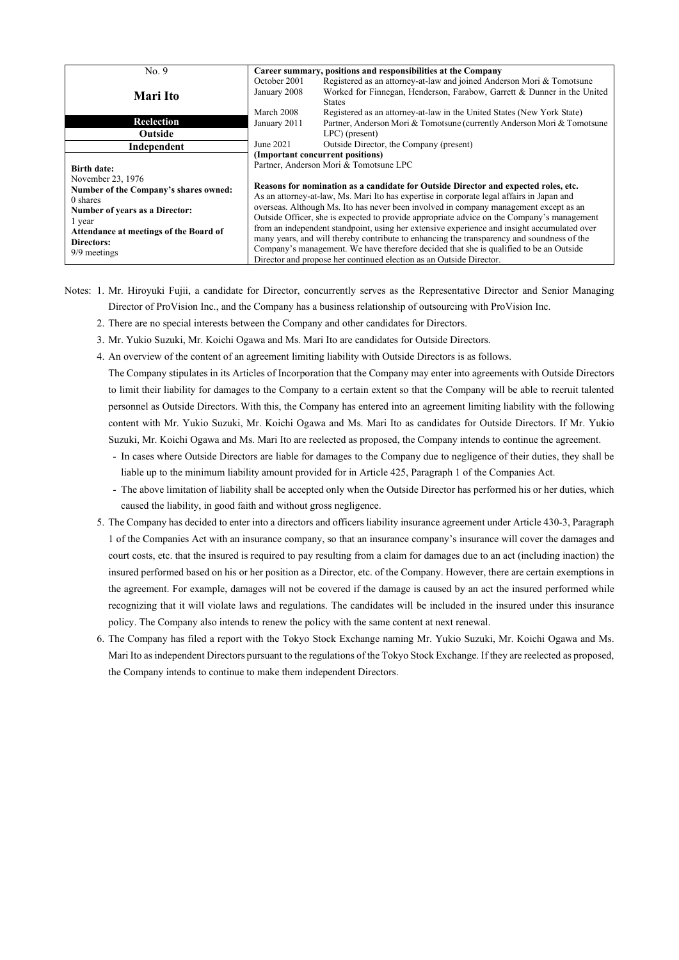| No.9                                                                                                                                                                                                                    | Career summary, positions and responsibilities at the Company |                                                                                                                                                                                                                                                                                                                                                                                                                                                                                                                                                                                                                                                                                                                                                                                                                     |  |  |
|-------------------------------------------------------------------------------------------------------------------------------------------------------------------------------------------------------------------------|---------------------------------------------------------------|---------------------------------------------------------------------------------------------------------------------------------------------------------------------------------------------------------------------------------------------------------------------------------------------------------------------------------------------------------------------------------------------------------------------------------------------------------------------------------------------------------------------------------------------------------------------------------------------------------------------------------------------------------------------------------------------------------------------------------------------------------------------------------------------------------------------|--|--|
| Mari Ito                                                                                                                                                                                                                | October 2001<br>January 2008                                  | Registered as an attorney-at-law and joined Anderson Mori & Tomotsune<br>Worked for Finnegan, Henderson, Farabow, Garrett & Dunner in the United<br><b>States</b>                                                                                                                                                                                                                                                                                                                                                                                                                                                                                                                                                                                                                                                   |  |  |
| Reelection                                                                                                                                                                                                              | March 2008<br>January 2011                                    | Registered as an attorney-at-law in the United States (New York State)<br>Partner, Anderson Mori & Tomotsune (currently Anderson Mori & Tomotsune                                                                                                                                                                                                                                                                                                                                                                                                                                                                                                                                                                                                                                                                   |  |  |
| Outside                                                                                                                                                                                                                 |                                                               | $LPC$ ) (present)                                                                                                                                                                                                                                                                                                                                                                                                                                                                                                                                                                                                                                                                                                                                                                                                   |  |  |
| Independent                                                                                                                                                                                                             | June 2021                                                     | Outside Director, the Company (present)                                                                                                                                                                                                                                                                                                                                                                                                                                                                                                                                                                                                                                                                                                                                                                             |  |  |
| <b>Birth date:</b><br>November 23, 1976<br>Number of the Company's shares owned:<br>0 shares<br>Number of years as a Director:<br>l year<br>Attendance at meetings of the Board of<br><b>Directors:</b><br>9/9 meetings |                                                               | (Important concurrent positions)<br>Partner, Anderson Mori & Tomotsune LPC<br>Reasons for nomination as a candidate for Outside Director and expected roles, etc.<br>As an attorney-at-law, Ms. Mari Ito has expertise in corporate legal affairs in Japan and<br>overseas. Although Ms. Ito has never been involved in company management except as an<br>Outside Officer, she is expected to provide appropriate advice on the Company's management<br>from an independent standpoint, using her extensive experience and insight accumulated over<br>many years, and will thereby contribute to enhancing the transparency and soundness of the<br>Company's management. We have therefore decided that she is qualified to be an Outside<br>Director and propose her continued election as an Outside Director. |  |  |

- Notes: 1. Mr. Hiroyuki Fujii, a candidate for Director, concurrently serves as the Representative Director and Senior Managing Director of ProVision Inc., and the Company has a business relationship of outsourcing with ProVision Inc.
	- 2. There are no special interests between the Company and other candidates for Directors.
	- 3. Mr. Yukio Suzuki, Mr. Koichi Ogawa and Ms. Mari Ito are candidates for Outside Directors.
	- 4. An overview of the content of an agreement limiting liability with Outside Directors is as follows.

The Company stipulates in its Articles of Incorporation that the Company may enter into agreements with Outside Directors to limit their liability for damages to the Company to a certain extent so that the Company will be able to recruit talented personnel as Outside Directors. With this, the Company has entered into an agreement limiting liability with the following content with Mr. Yukio Suzuki, Mr. Koichi Ogawa and Ms. Mari Ito as candidates for Outside Directors. If Mr. Yukio Suzuki, Mr. Koichi Ogawa and Ms. Mari Ito are reelected as proposed, the Company intends to continue the agreement.

- In cases where Outside Directors are liable for damages to the Company due to negligence of their duties, they shall be liable up to the minimum liability amount provided for in Article 425, Paragraph 1 of the Companies Act.
- The above limitation of liability shall be accepted only when the Outside Director has performed his or her duties, which caused the liability, in good faith and without gross negligence.
- 5. The Company has decided to enter into a directors and officers liability insurance agreement under Article 430-3, Paragraph 1 of the Companies Act with an insurance company, so that an insurance company's insurance will cover the damages and court costs, etc. that the insured is required to pay resulting from a claim for damages due to an act (including inaction) the insured performed based on his or her position as a Director, etc. of the Company. However, there are certain exemptions in the agreement. For example, damages will not be covered if the damage is caused by an act the insured performed while recognizing that it will violate laws and regulations. The candidates will be included in the insured under this insurance policy. The Company also intends to renew the policy with the same content at next renewal.
- 6. The Company has filed a report with the Tokyo Stock Exchange naming Mr. Yukio Suzuki, Mr. Koichi Ogawa and Ms. Mari Ito as independent Directors pursuant to the regulations of the Tokyo Stock Exchange. If they are reelected as proposed, the Company intends to continue to make them independent Directors.